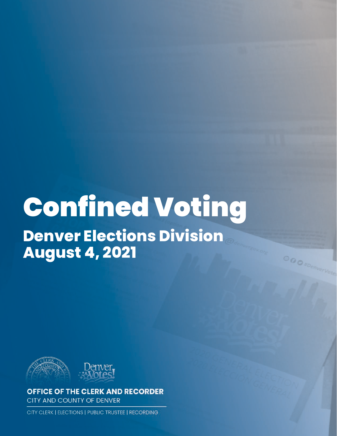# Confined Voting

**Denver Elections Division August 4, 2021**



**OFFICE OF THE CLERK AND RECORDER** CITY AND COUNTY OF DENVER

CITY CLERK | ELECTIONS | PUBLIC TRUSTEE | RECORDING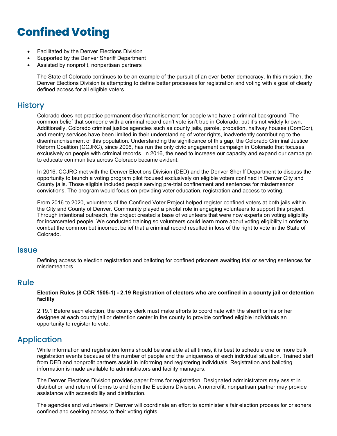# **Confined Voting**

- Facilitated by the Denver Elections Division
- Supported by the Denver Sheriff Department
- Assisted by nonprofit, nonpartisan partners

The State of Colorado continues to be an example of the pursuit of an ever-better democracy. In this mission, the Denver Elections Division is attempting to define better processes for registration and voting with a goal of clearly defined access for all eligible voters.

#### **History**

Colorado does not practice permanent disenfranchisement for people who have a criminal background. The common belief that someone with a criminal record can't vote isn't true in Colorado, but it's not widely known. Additionally, Colorado criminal justice agencies such as county jails, parole, probation, halfway houses (ComCor), and reentry services have been limited in their understanding of voter rights, inadvertently contributing to the disenfranchisement of this population. Understanding the significance of this gap, the Colorado Criminal Justice Reform Coalition (CCJRC), since 2006, has run the only civic engagement campaign in Colorado that focuses exclusively on people with criminal records. In 2016, the need to increase our capacity and expand our campaign to educate communities across Colorado became evident.

In 2016, CCJRC met with the Denver Elections Division (DED) and the Denver Sheriff Department to discuss the opportunity to launch a voting program pilot focused exclusively on eligible voters confined in Denver City and County jails. Those eligible included people serving pre-trial confinement and sentences for misdemeanor convictions. The program would focus on providing voter education, registration and access to voting.

From 2016 to 2020, volunteers of the Confined Voter Project helped register confined voters at both jails within the City and County of Denver. Community played a pivotal role in engaging volunteers to support this project. Through intentional outreach, the project created a base of volunteers that were now experts on voting eligibility for incarcerated people. We conducted training so volunteers could learn more about voting eligibility in order to combat the common but incorrect belief that a criminal record resulted in loss of the right to vote in the State of Colorado.

#### **Issue**

Defining access to election registration and balloting for confined prisoners awaiting trial or serving sentences for misdemeanors.

#### Rule

#### **Election Rules (8 CCR 1505-1) - 2.19 Registration of electors who are confined in a county jail or detention facility**

2.19.1 Before each election, the county clerk must make efforts to coordinate with the sheriff or his or her designee at each county jail or detention center in the county to provide confined eligible individuals an opportunity to register to vote.

#### Application

While information and registration forms should be available at all times, it is best to schedule one or more bulk registration events because of the number of people and the uniqueness of each individual situation. Trained staff from DED and nonprofit partners assist in informing and registering individuals. Registration and balloting information is made available to administrators and facility managers.

The Denver Elections Division provides paper forms for registration. Designated administrators may assist in distribution and return of forms to and from the Elections Division. A nonprofit, nonpartisan partner may provide assistance with accessibility and distribution.

The agencies and volunteers in Denver will coordinate an effort to administer a fair election process for prisoners confined and seeking access to their voting rights.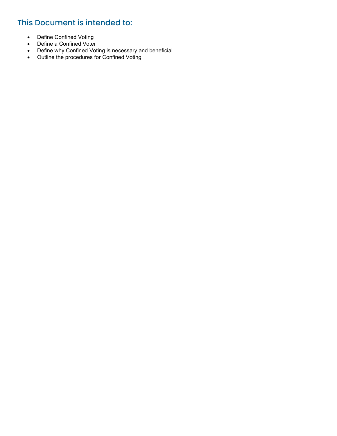# This Document is intended to:

- Define Confined Voting
- Define a Confined Voter
- Define why Confined Voting is necessary and beneficial
- Outline the procedures for Confined Voting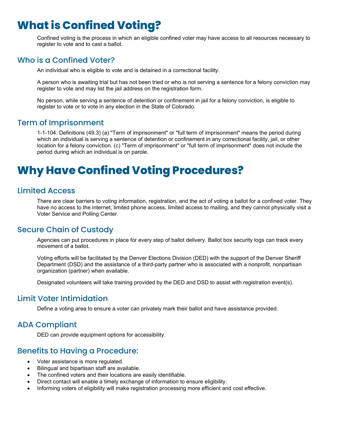# **What is Confined Voting?**

Confined voting is the process in which an eligible confined voter may have access to all resources necessary to register to vote and to cast a ballot.

#### Who is a Confined Voter?

An individual who is eligible to vote and is detained in a correctional facility.

A person who is awaiting trial but has not been tried or who is not serving a sentence for a felony conviction may register to vote and may list the jail address on the registration form.

No person, while serving a sentence of detention or confinement in jail for a felony conviction, is eligible to register to vote or to vote in any election in the State of Colorado.

#### Term of Imprisonment

1-1-104. Definitions (49.3) (a) "Term of imprisonment" or "full term of imprisonment" means the period during which an individual is serving a sentence of detention or confinement in any correctional facility, jail, or other location for a felony conviction. (c) "Term of imprisonment" or "full term of imprisonment" does not include the period during which an individual is on parole.

# **Why Have Confined Voting Procedures?**

#### Limited Access

There are clear barriers to voting information, registration, and the act of voting a ballot for a confined voter. They have no access to the internet, limited phone access, limited access to mailing, and they cannot physically visit a Voter Service and Polling Center.

#### Secure Chain of Custody

Agencies can put procedures in place for every step of ballot delivery. Ballot box security logs can track every movement of a ballot.

Voting efforts will be facilitated by the Denver Elections Division (DED) with the support of the Denver Sheriff Department (DSD) and the assistance of a third-party partner who is associated with a nonprofit, nonpartisan organization (partner) when available.

Designated volunteers will take training provided by the DED and DSD to assist with registration event(s).

#### Limit Voter Intimidation

Define a voting area to ensure a voter can privately mark their ballot and have assistance provided.

#### ADA Compliant

DED can provide equipment options for accessibility.

#### Benefits to Having a Procedure:

- Voter assistance is more regulated.
- Bilingual and bipartisan staff are available.
- The confined voters and their locations are easily identifiable.
- Direct contact will enable a timely exchange of information to ensure eligibility.
- Informing voters of eligibility will make registration processing more efficient and cost effective.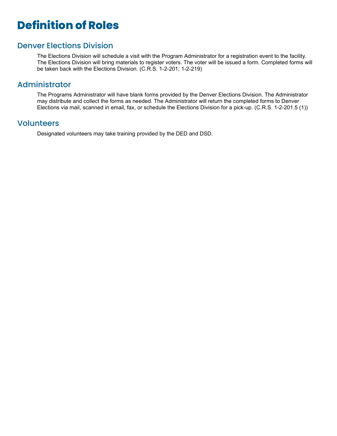# **Definition of Roles**

#### Denver Elections Division

The Elections Division will schedule a visit with the Program Administrator for a registration event to the facility. The Elections Division will bring materials to register voters. The voter will be issued a form. Completed forms will be taken back with the Elections Division. (C.R.S. 1-2-201; 1-2-219)

#### Administrator

The Programs Administrator will have blank forms provided by the Denver Elections Division. The Administrator may distribute and collect the forms as needed. The Administrator will return the completed forms to Denver Elections via mail, scanned in email, fax, or schedule the Elections Division for a pick-up. (C.R.S. 1-2-201.5 (1))

#### Volunteers

Designated volunteers may take training provided by the DED and DSD.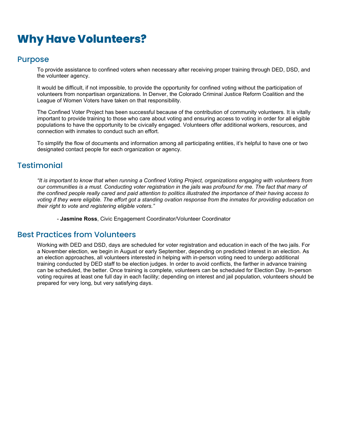# **Why Have Volunteers?**

#### Purpose

To provide assistance to confined voters when necessary after receiving proper training through DED, DSD, and the volunteer agency.

It would be difficult, if not impossible, to provide the opportunity for confined voting without the participation of volunteers from nonpartisan organizations. In Denver, the Colorado Criminal Justice Reform Coalition and the League of Women Voters have taken on that responsibility.

The Confined Voter Project has been successful because of the contribution of community volunteers. It is vitally important to provide training to those who care about voting and ensuring access to voting in order for all eligible populations to have the opportunity to be civically engaged. Volunteers offer additional workers, resources, and connection with inmates to conduct such an effort.

To simplify the flow of documents and information among all participating entities, it's helpful to have one or two designated contact people for each organization or agency.

#### **Testimonial**

*"It is important to know that when running a Confined Voting Project, organizations engaging with volunteers from our communities is a must. Conducting voter registration in the jails was profound for me. The fact that many of the confined people really cared and paid attention to politics illustrated the importance of their having access to voting if they were eligible. The effort got a standing ovation response from the inmates for providing education on their right to vote and registering eligible voters."*

- **Jasmine Ross**, Civic Engagement Coordinator/Volunteer Coordinator

#### Best Practices from Volunteers

Working with DED and DSD, days are scheduled for voter registration and education in each of the two jails. For a November election, we begin in August or early September, depending on predicted interest in an election. As an election approaches, all volunteers interested in helping with in-person voting need to undergo additional training conducted by DED staff to be election judges. In order to avoid conflicts, the farther in advance training can be scheduled, the better. Once training is complete, volunteers can be scheduled for Election Day. In-person voting requires at least one full day in each facility; depending on interest and jail population, volunteers should be prepared for very long, but very satisfying days.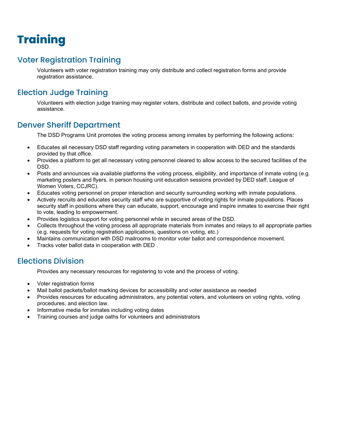# **Training**

# Voter Registration Training

Volunteers with voter registration training may only distribute and collect registration forms and provide registration assistance.

# Election Judge Training

Volunteers with election judge training may register voters, distribute and collect ballots, and provide voting assistance.

### Denver Sheriff Department

The DSD Programs Unit promotes the voting process among inmates by performing the following actions:

- Educates all necessary DSD staff regarding voting parameters in cooperation with DED and the standards provided by that office.
- Provides a platform to get all necessary voting personnel cleared to allow access to the secured facilities of the DSD.
- Posts and announces via available platforms the voting process, eligibility, and importance of inmate voting (e.g. marketing posters and flyers, in person housing unit education sessions provided by DED staff, League of Women Voters, CCJRC).
- Educates voting personnel on proper interaction and security surrounding working with inmate populations.
- Actively recruits and educates security staff who are supportive of voting rights for inmate populations. Places security staff in positions where they can educate, support, encourage and inspire inmates to exercise their right to vote, leading to empowerment.
- Provides logistics support for voting personnel while in secured areas of the DSD.
- Collects throughout the voting process all appropriate materials from inmates and relays to all appropriate parties (e.g. requests for voting registration applications, questions on voting, etc.)
- Maintains communication with DSD mailrooms to monitor voter ballot and correspondence movement.
- Tracks voter ballot data in cooperation with DED .

### Elections Division

Provides any necessary resources for registering to vote and the process of voting.

- Voter registration forms
- Mail ballot packets/ballot marking devices for accessibility and voter assistance as needed
- Provides resources for educating administrators, any potential voters, and volunteers on voting rights, voting procedures, and election law.
- Informative media for inmates including voting dates
- Training courses and judge oaths for volunteers and administrators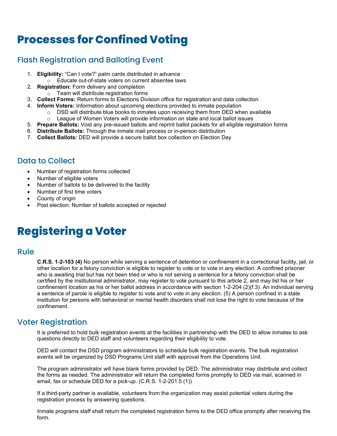# **Processes for Confined Voting**

# Flash Registration and Balloting Event

- 1. **Eligibility:** "Can I vote?" palm cards distributed in advance o Educate out-of-state voters on current absentee laws
- 2. **Registration:** Form delivery and completion
	- o Team will distribute registration forms
- 3. **Collect Forms:** Return forms to Elections Division office for registration and data collection
- 4. **Inform Voters:** Information about upcoming elections provided to inmate population
	- $\circ$  DSD will distribute blue books to inmates upon receiving them from DED when available  $\circ$  League of Women Voters will provide information on state and local ballot issues League of Women Voters will provide information on state and local ballot issues
- 5. **Prepare Ballots:** Void any pre-issued ballots and reprint ballot packets for all eligible registration forms
- 6. **Distribute Ballots:** Through the inmate mail process or in-person distribution
- 7. **Collect Ballots:** DED will provide a secure ballot box collection on Election Day

### Data to Collect

- Number of registration forms collected
- Number of eligible voters
- Number of ballots to be delivered to the facility
- Number of first time voters
- County of origin
- Post election: Number of ballots accepted or rejected

# **Registering a Voter**

#### Rule

**C.R.S. 1-2-103 (4)** No person while serving a sentence of detention or confinement in a correctional facility, jail, or other location for a felony conviction is eligible to register to vote or to vote in any election. A confined prisoner who is awaiting trial but has not been tried or who is not serving a sentence for a felony conviction shall be certified by the institutional administrator, may register to vote pursuant to this article 2, and may list his or her confinement location as his or her ballot address in accordance with section 1-2-204 (2)(f.3). An individual serving a sentence of parole is eligible to register to vote and to vote in any election. (5) A person confined in a state institution for persons with behavioral or mental health disorders shall not lose the right to vote because of the confinement.

### Voter Registration

It is preferred to hold bulk registration events at the facilities in partnership with the DED to allow inmates to ask questions directly to DED staff and volunteers regarding their eligibility to vote.

DED will contact the DSD program administrators to schedule bulk registration events. The bulk registration events will be organized by DSD Programs Unit staff with approval from the Operations Unit.

The program administrator will have blank forms provided by DED. The administrator may distribute and collect the forms as needed. The administrator will return the completed forms promptly to DED via mail, scanned in email, fax or schedule DED for a pick-up. (C.R.S. 1-2-201.5 (1))

If a third-party partner is available, volunteers from the organization may assist potential voters during the registration process by answering questions.

Inmate programs staff shall return the completed registration forms to the DED office promptly after receiving the form.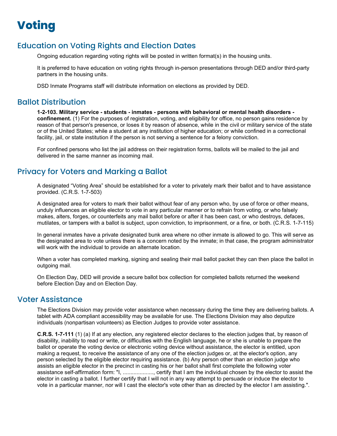# **Voting**

### Education on Voting Rights and Election Dates

Ongoing education regarding voting rights will be posted in written format(s) in the housing units.

It is preferred to have education on voting rights through in-person presentations through DED and/or third-party partners in the housing units.

DSD Inmate Programs staff will distribute information on elections as provided by DED.

#### Ballot Distribution

**1-2-103. Military service - students - inmates - persons with behavioral or mental health disorders confinement.** (1) For the purposes of registration, voting, and eligibility for office, no person gains residence by reason of that person's presence, or loses it by reason of absence, while in the civil or military service of the state or of the United States; while a student at any institution of higher education; or while confined in a correctional facility, jail, or state institution if the person is not serving a sentence for a felony conviction.

For confined persons who list the jail address on their registration forms, ballots will be mailed to the jail and delivered in the same manner as incoming mail.

### Privacy for Voters and Marking a Ballot

A designated "Voting Area" should be established for a voter to privately mark their ballot and to have assistance provided. (C.R.S. 1-7-503)

A designated area for voters to mark their ballot without fear of any person who, by use of force or other means, unduly influences an eligible elector to vote in any particular manner or to refrain from voting, or who falsely makes, alters, forges, or counterfeits any mail ballot before or after it has been cast, or who destroys, defaces, mutilates, or tampers with a ballot is subject, upon conviction, to imprisonment, or a fine, or both. (C.R.S. 1-7-115)

In general inmates have a private designated bunk area where no other inmate is allowed to go. This will serve as the designated area to vote unless there is a concern noted by the inmate; in that case, the program administrator will work with the individual to provide an alternate location.

When a voter has completed marking, signing and sealing their mail ballot packet they can then place the ballot in outgoing mail.

On Election Day, DED will provide a secure ballot box collection for completed ballots returned the weekend before Election Day and on Election Day.

#### Voter Assistance

The Elections Division may provide voter assistance when necessary during the time they are delivering ballots. A tablet with ADA compliant accessibility may be available for use. The Elections Division may also deputize individuals (nonpartisan volunteers) as Election Judges to provide voter assistance.

**C.R.S. 1-7-111** (1) (a) If at any election, any registered elector declares to the election judges that, by reason of disability, inability to read or write, or difficulties with the English language, he or she is unable to prepare the ballot or operate the voting device or electronic voting device without assistance, the elector is entitled, upon making a request, to receive the assistance of any one of the election judges or, at the elector's option, any person selected by the eligible elector requiring assistance. (b) Any person other than an election judge who assists an eligible elector in the precinct in casting his or her ballot shall first complete the following voter assistance self-affirmation form: "I, ...................., certify that I am the individual chosen by the elector to assist the elector in casting a ballot. I further certify that I will not in any way attempt to persuade or induce the elector to vote in a particular manner, nor will I cast the elector's vote other than as directed by the elector I am assisting.".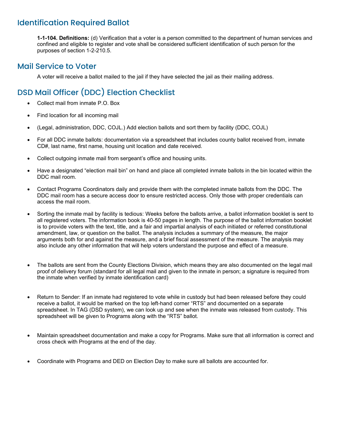# Identification Required Ballot

**1-1-104. Definitions:** (d) Verification that a voter is a person committed to the department of human services and confined and eligible to register and vote shall be considered sufficient identification of such person for the purposes of section 1-2-210.5.

### Mail Service to Voter

A voter will receive a ballot mailed to the jail if they have selected the jail as their mailing address.

# DSD Mail Officer (DDC) Election Checklist

- Collect mail from inmate P.O. Box
- Find location for all incoming mail
- (Legal, administration, DDC, COJL.) Add election ballots and sort them by facility (DDC, COJL)
- For all DDC inmate ballots: documentation via a spreadsheet that includes county ballot received from, inmate CD#, last name, first name, housing unit location and date received.
- Collect outgoing inmate mail from sergeant's office and housing units.
- Have a designated "election mail bin" on hand and place all completed inmate ballots in the bin located within the DDC mail room.
- Contact Programs Coordinators daily and provide them with the completed inmate ballots from the DDC. The DDC mail room has a secure access door to ensure restricted access. Only those with proper credentials can access the mail room.
- Sorting the inmate mail by facility is tedious: Weeks before the ballots arrive, a ballot information booklet is sent to all registered voters. The information book is 40-50 pages in length. The purpose of the ballot information booklet is to provide voters with the text, title, and a fair and impartial analysis of each initiated or referred constitutional amendment, law, or question on the ballot. The analysis includes a summary of the measure, the major arguments both for and against the measure, and a brief fiscal assessment of the measure. The analysis may also include any other information that will help voters understand the purpose and effect of a measure.
- The ballots are sent from the County Elections Division, which means they are also documented on the legal mail proof of delivery forum (standard for all legal mail and given to the inmate in person; a signature is required from the inmate when verified by inmate identification card)
- Return to Sender: If an inmate had registered to vote while in custody but had been released before they could receive a ballot, it would be marked on the top left-hand corner "RTS" and documented on a separate spreadsheet. In TAG (DSD system), we can look up and see when the inmate was released from custody. This spreadsheet will be given to Programs along with the "RTS" ballot.
- Maintain spreadsheet documentation and make a copy for Programs. Make sure that all information is correct and cross check with Programs at the end of the day.
- Coordinate with Programs and DED on Election Day to make sure all ballots are accounted for.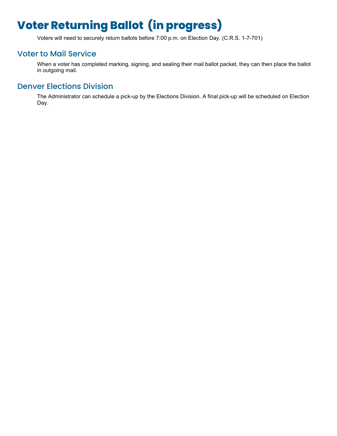# **Voter Returning Ballot (in progress)**

Voters will need to securely return ballots before 7:00 p.m. on Election Day. (C.R.S. 1-7-701)

# Voter to Mail Service

When a voter has completed marking, signing, and sealing their mail ballot packet, they can then place the ballot in outgoing mail.

## Denver Elections Division

The Administrator can schedule a pick-up by the Elections Division. A final pick-up will be scheduled on Election Day.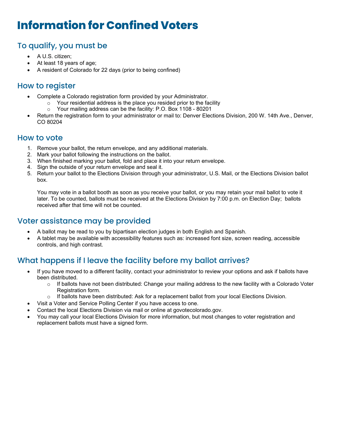# **Information for Confined Voters**

# To qualify, you must be

- A U.S. citizen;
- At least 18 years of age;
- A resident of Colorado for 22 days (prior to being confined)

# How to register

- Complete a Colorado registration form provided by your Administrator.
	- o Your residential address is the place you resided prior to the facility
	- o Your mailing address can be the facility: P.O. Box 1108 80201
- Return the registration form to your administrator or mail to: Denver Elections Division, 200 W. 14th Ave., Denver, CO 80204

### How to vote

- 1. Remove your ballot, the return envelope, and any additional materials.
- 2. Mark your ballot following the instructions on the ballot.
- 3. When finished marking your ballot, fold and place it into your return envelope.
- 4. Sign the outside of your return envelope and seal it.
- 5. Return your ballot to the Elections Division through your administrator, U.S. Mail, or the Elections Division ballot box.

You may vote in a ballot booth as soon as you receive your ballot, or you may retain your mail ballot to vote it later. To be counted, ballots must be received at the Elections Division by 7:00 p.m. on Election Day; ballots received after that time will not be counted.

# Voter assistance may be provided

- A ballot may be read to you by bipartisan election judges in both English and Spanish.
- A tablet may be available with accessibility features such as: increased font size, screen reading, accessible controls, and high contrast.

# What happens if I leave the facility before my ballot arrives?

- If you have moved to a different facility, contact your administrator to review your options and ask if ballots have been distributed.
	- $\circ$  If ballots have not been distributed: Change your mailing address to the new facility with a Colorado Voter Registration form.
	- $\circ$  If ballots have been distributed: Ask for a replacement ballot from your local Elections Division.
- Visit a Voter and Service Polling Center if you have access to one.
- Contact the local Elections Division via mail or online at govotecolorado.gov.
- You may call your local Elections Division for more information, but most changes to voter registration and replacement ballots must have a signed form.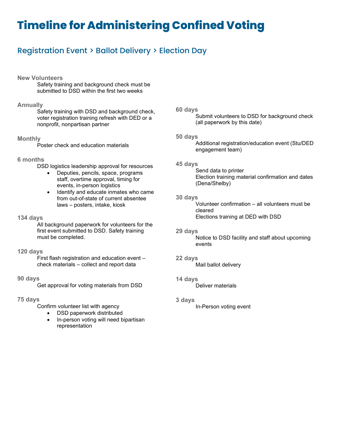# **Timeline for Administering Confined Voting**

# Registration Event > Ballot Delivery > Election Day

#### **New Volunteers**

Safety training and background check must be submitted to DSD within the first two weeks

#### **Annually**

Safety training with DSD and background check, voter registration training refresh with DED or a nonprofit, nonpartisan partner

#### **Monthly**

Poster check and education materials

#### **6 months**

DSD logistics leadership approval for resources

- Deputies, pencils, space, programs staff, overtime approval, timing for events, in-person logistics
- Identify and educate inmates who came from out-of-state of current absentee laws – posters, intake, kiosk

#### **134 days**

All background paperwork for volunteers for the first event submitted to DSD. Safety training must be completed.

#### **120 days**

First flash registration and education event – check materials – collect and report data

#### **90 days**

Get approval for voting materials from DSD

#### **75 days**

Confirm volunteer list with agency

- DSD paperwork distributed
- In-person voting will need bipartisan representation

#### **60 days**

Submit volunteers to DSD for background check (all paperwork by this date)

#### **50 days**

Additional registration/education event (Stu/DED engagement team)

#### **45 days**

Send data to printer Election training material confirmation and dates (Dena/Shelby)

#### **30 days**

Volunteer confirmation – all volunteers must be cleared Elections training at DED with DSD

#### **29 days**

Notice to DSD facility and staff about upcoming events

#### **22 days**

Mail ballot delivery

#### **14 days**

Deliver materials

#### **3 days**

In-Person voting event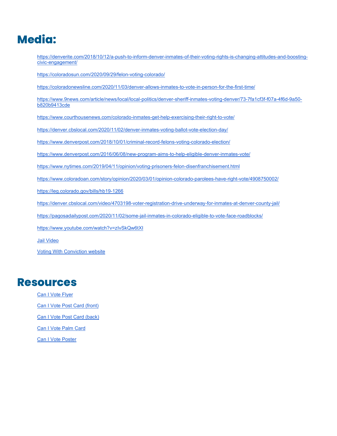# **Media:**

[https://denverite.com/2018/10/12/a-push-to-inform-denver-inmates-of-their-voting-rights-is-changing-attitudes-and-boosting](https://denverite.com/2018/10/12/a-push-to-inform-denver-inmates-of-their-voting-rights-is-changing-attitudes-and-boosting-civic-engagement/)[civic-engagement/](https://denverite.com/2018/10/12/a-push-to-inform-denver-inmates-of-their-voting-rights-is-changing-attitudes-and-boosting-civic-engagement/)

<https://coloradosun.com/2020/09/29/felon-voting-colorado/>

<https://coloradonewsline.com/2020/11/03/denver-allows-inmates-to-vote-in-person-for-the-first-time/>

[https://www.9news.com/article/news/local/local-politics/denver-sheriff-inmates-voting-denver/73-7fa1cf3f-f07a-4f6d-9a50](https://www.9news.com/article/news/local/local-politics/denver-sheriff-inmates-voting-denver/73-7fa1cf3f-f07a-4f6d-9a50-b820b9413cde) [b820b9413cde](https://www.9news.com/article/news/local/local-politics/denver-sheriff-inmates-voting-denver/73-7fa1cf3f-f07a-4f6d-9a50-b820b9413cde)

<https://www.courthousenews.com/colorado-inmates-get-help-exercising-their-right-to-vote/>

<https://denver.cbslocal.com/2020/11/02/denver-inmates-voting-ballot-vote-election-day/>

<https://www.denverpost.com/2018/10/01/criminal-record-felons-voting-colorado-election/>

<https://www.denverpost.com/2016/06/08/new-program-aims-to-help-eligible-denver-inmates-vote/>

<https://www.nytimes.com/2019/04/11/opinion/voting-prisoners-felon-disenfranchisement.html>

<https://www.coloradoan.com/story/opinion/2020/03/01/opinion-colorado-parolees-have-right-vote/4908750002/>

<https://leg.colorado.gov/bills/hb19-1266>

<https://denver.cbslocal.com/video/4703198-voter-registration-drive-underway-for-inmates-at-denver-county-jail/>

<https://pagosadailypost.com/2020/11/02/some-jail-inmates-in-colorado-eligible-to-vote-face-roadblocks/>

<https://www.youtube.com/watch?v=zIvSkQw6tXI>

[Jail Video](https://www.youtube.com/watch?v=C69tcpk31L0)

[Voting With Conviction website](https://votingwithconviction.org/)

# **Resources**

[Can I Vote Flyer](https://www.ccjrc.org/wp-content/uploads/2019/06/Can-I-Vote-flyer-FINAL.pdf) **[Can I Vote Post Card \(front\)](https://www.ccjrc.org/wp-content/uploads/2019/06/Voting-Postcard-2019-4.pdf)** [Can I Vote Post Card \(back\)](https://www.ccjrc.org/wp-content/uploads/2019/06/Voting-Postcard-2019-5.pdf) [Can I Vote Palm Card](https://www.ccjrc.org/wp-content/uploads/2019/06/Voting-Postcard-2019-5-Front-cropped-e1559682366142.jpg)

[Can I Vote](https://www.ccjrc.org/wp-content/uploads/2021/03/CCJRC_vote_poster-19b-Final.jpg) Poster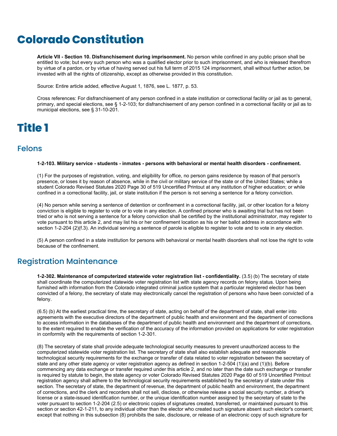# **Colorado Constitution**

**Article VII - Section 10. Disfranchisement during imprisonment.** No person while confined in any public prison shall be entitled to vote; but every such person who was a qualified elector prior to such imprisonment, and who is released therefrom by virtue of a pardon, or by virtue of having served out his full term of 2015 124 imprisonment, shall without further action, be invested with all the rights of citizenship, except as otherwise provided in this constitution.

Source: Entire article added, effective August 1, 1876, see L. 1877, p. 53.

Cross references: For disfranchisement of any person confined in a state institution or correctional facility or jail as to general, primary, and special elections, see § 1-2-103; for disfranchisement of any person confined in a correctional facility or jail as to municipal elections, see § 31-10-201.

# **Title 1**

#### Felons

#### **1-2-103. Military service - students - inmates - persons with behavioral or mental health disorders - confinement.**

(1) For the purposes of registration, voting, and eligibility for office, no person gains residence by reason of that person's presence, or loses it by reason of absence, while in the civil or military service of the state or of the United States; while a student Colorado Revised Statutes 2020 Page 30 of 519 Uncertified Printout at any institution of higher education; or while confined in a correctional facility, jail, or state institution if the person is not serving a sentence for a felony conviction.

(4) No person while serving a sentence of detention or confinement in a correctional facility, jail, or other location for a felony conviction is eligible to register to vote or to vote in any election. A confined prisoner who is awaiting trial but has not been tried or who is not serving a sentence for a felony conviction shall be certified by the institutional administrator, may register to vote pursuant to this article 2, and may list his or her confinement location as his or her ballot address in accordance with section 1-2-204 (2)(f.3). An individual serving a sentence of parole is eligible to register to vote and to vote in any election.

(5) A person confined in a state institution for persons with behavioral or mental health disorders shall not lose the right to vote because of the confinement.

#### Registration Maintenance

**1-2-302. Maintenance of computerized statewide voter registration list - confidentiality.** (3.5) (b) The secretary of state shall coordinate the computerized statewide voter registration list with state agency records on felony status. Upon being furnished with information from the Colorado integrated criminal justice system that a particular registered elector has been convicted of a felony, the secretary of state may electronically cancel the registration of persons who have been convicted of a felony.

(6.5) (b) At the earliest practical time, the secretary of state, acting on behalf of the department of state, shall enter into agreements with the executive directors of the department of public health and environment and the department of corrections to access information in the databases of the department of public health and environment and the department of corrections, to the extent required to enable the verification of the accuracy of the information provided on applications for voter registration in conformity with the requirements of section 1-2-301.

(8) The secretary of state shall provide adequate technological security measures to prevent unauthorized access to the computerized statewide voter registration list. The secretary of state shall also establish adequate and reasonable technological security requirements for the exchange or transfer of data related to voter registration between the secretary of state and any other state agency or voter registration agency as defined in section 1-2-504 (1)(a) and (1)(b). Before commencing any data exchange or transfer required under this article 2, and no later than the date such exchange or transfer is required by statute to begin, the state agency or voter Colorado Revised Statutes 2020 Page 60 of 519 Uncertified Printout registration agency shall adhere to the technological security requirements established by the secretary of state under this section. The secretary of state, the department of revenue, the department of public health and environment, the department of corrections, and the clerk and recorders shall not sell, disclose, or otherwise release a social security number, a driver's license or a state-issued identification number, or the unique identification number assigned by the secretary of state to the voter pursuant to section 1-2-204 (2.5) or electronic copies of signatures created, transferred, or maintained pursuant to this section or section 42-1-211, to any individual other than the elector who created such signature absent such elector's consent; except that nothing in this subsection (8) prohibits the sale, disclosure, or release of an electronic copy of such signature for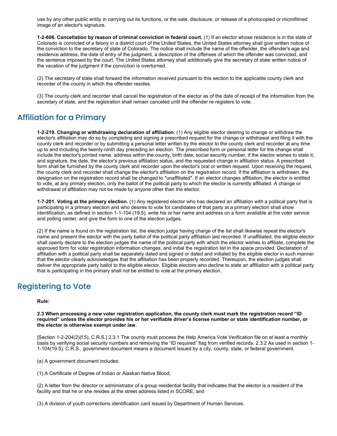use by any other public entity in carrying out its functions, or the sale, disclosure, or release of a photocopied or microfilmed image of an elector's signature.

**1-2-606. Cancellation by reason of criminal conviction in federal court.** (1) If an elector whose residence is in the state of Colorado is convicted of a felony in a district court of the United States, the United States attorney shall give written notice of the conviction to the secretary of state of Colorado. The notice shall include the name of the offender, the offender's age and residence address, the date of entry of the judgment, a description of the offenses of which the offender was convicted, and the sentence imposed by the court. The United States attorney shall additionally give the secretary of state written notice of the vacation of the judgment if the conviction is overturned.

(2) The secretary of state shall forward the information received pursuant to this section to the applicable county clerk and recorder of the county in which the offender resides.

(3) The county clerk and recorder shall cancel the registration of the elector as of the date of receipt of the information from the secretary of state, and the registration shall remain canceled until the offender re-registers to vote.

### Affiliation for a Primary

**1-2-219. Changing or withdrawing declaration of affiliation**. (1) Any eligible elector desiring to change or withdraw the elector's affiliation may do so by completing and signing a prescribed request for the change or withdrawal and filing it with the county clerk and recorder or by submitting a personal letter written by the elector to the county clerk and recorder at any time up to and including the twenty-ninth day preceding an election. The prescribed form or personal letter for the change shall include the elector's printed name, address within the county, birth date, social security number, if the elector wishes to state it, and signature, the date, the elector's previous affiliation status, and the requested change in affiliation status. A prescribed form shall be furnished by the county clerk and recorder upon the elector's oral or written request. Upon receiving the request, the county clerk and recorder shall change the elector's affiliation on the registration record. If the affiliation is withdrawn, the designation on the registration record shall be changed to "unaffiliated". If an elector changes affiliation, the elector is entitled to vote, at any primary election, only the ballot of the political party to which the elector is currently affiliated. A change or withdrawal of affiliation may not be made by anyone other than the elector.

**1-7-201. Voting at the primary election.** (1) Any registered elector who has declared an affiliation with a political party that is participating in a primary election and who desires to vote for candidates of that party at a primary election shall show identification, as defined in section 1-1-104 (19.5), write his or her name and address on a form available at the voter service and polling center, and give the form to one of the election judges.

(2) If the name is found on the registration list, the election judge having charge of the list shall likewise repeat the elector's name and present the elector with the party ballot of the political party affiliation last recorded. If unaffiliated, the eligible elector shall openly declare to the election judges the name of the political party with which the elector wishes to affiliate, complete the approved form for voter registration information changes, and initial the registration list in the space provided. Declaration of affiliation with a political party shall be separately dated and signed or dated and initialed by the eligible elector in such manner that the elector clearly acknowledges that the affiliation has been properly recorded. Thereupon, the election judges shall deliver the appropriate party ballot to the eligible elector. Eligible electors who decline to state an affiliation with a political party that is participating in the primary shall not be entitled to vote at the primary election.

### Registering to Vote

#### **Rule:**

**2.3 When processing a new voter registration application, the county clerk must mark the registration record "ID required" unless the elector provides his or her verifiable driver's license number or state identification number, or the elector is otherwise exempt under law.**

[Section 1-2-204(2)(f.5), C.R.S.] 2.3.1 The county must process the Help America Vote Verification file on at least a monthly basis by verifying social security numbers and removing the "ID required" flag from verified records. 2.3.2 As used in section 1- 1-104(19.5), C.R.S., government document means a document issued by a city, county, state, or federal government.

(a) A government document includes:

(1) A Certificate of Degree of Indian or Alaskan Native Blood;

(2) A letter from the director or administrator of a group residential facility that indicates that the elector is a resident of the facility and that he or she resides at the street address listed in SCORE; and

(3) A division of youth corrections identification card issued by Department of Human Services.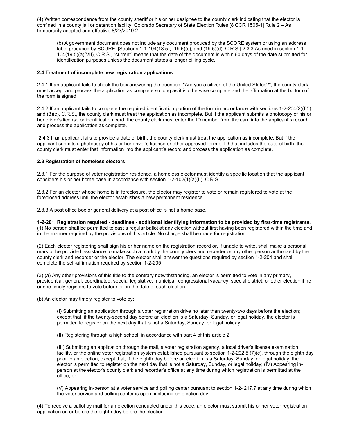(4) Written correspondence from the county sheriff or his or her designee to the county clerk indicating that the elector is confined in a county jail or detention facility. Colorado Secretary of State Election Rules [8 CCR 1505-1] Rule 2 – As temporarily adopted and effective 8/23/2019 2

(b) A government document does not include any document produced by the SCORE system or using an address label produced by SCORE. [Sections 1-1-104(18.5), (19.5)(c), and (19.5)(d), C.R.S.] 2.3.3 As used in section 1-1- 104(19.5)(a)(VII), C.R.S., "current" means that the date of the document is within 60 days of the date submitted for identification purposes unless the document states a longer billing cycle.

#### **2.4 Treatment of incomplete new registration applications**

2.4.1 If an applicant fails to check the box answering the question, "Are you a citizen of the United States?", the county clerk must accept and process the application as complete so long as it is otherwise complete and the affirmation at the bottom of the form is signed.

2.4.2 If an applicant fails to complete the required identification portion of the form in accordance with sections 1-2-204(2)(f.5) and (3)(c), C.R.S., the county clerk must treat the application as incomplete. But if the applicant submits a photocopy of his or her driver's license or identification card, the county clerk must enter the ID number from the card into the applicant's record and process the application as complete.

2.4.3 If an applicant fails to provide a date of birth, the county clerk must treat the application as incomplete. But if the applicant submits a photocopy of his or her driver's license or other approved form of ID that includes the date of birth, the county clerk must enter that information into the applicant's record and process the application as complete.

#### **2.8 Registration of homeless electors**

2.8.1 For the purpose of voter registration residence, a homeless elector must identify a specific location that the applicant considers his or her home base in accordance with section 1-2-102(1)(a)(II), C.R.S.

2.8.2 For an elector whose home is in foreclosure, the elector may register to vote or remain registered to vote at the foreclosed address until the elector establishes a new permanent residence.

2.8.3 A post office box or general delivery at a post office is not a home base.

**1-2-201. Registration required - deadlines - additional identifying information to be provided by first-time registrants.**  (1) No person shall be permitted to cast a regular ballot at any election without first having been registered within the time and in the manner required by the provisions of this article. No charge shall be made for registration.

(2) Each elector registering shall sign his or her name on the registration record or, if unable to write, shall make a personal mark or be provided assistance to make such a mark by the county clerk and recorder or any other person authorized by the county clerk and recorder or the elector. The elector shall answer the questions required by section 1-2-204 and shall complete the self-affirmation required by section 1-2-205.

(3) (a) Any other provisions of this title to the contrary notwithstanding, an elector is permitted to vote in any primary, presidential, general, coordinated, special legislative, municipal, congressional vacancy, special district, or other election if he or she timely registers to vote before or on the date of such election.

(b) An elector may timely register to vote by:

(I) Submitting an application through a voter registration drive no later than twenty-two days before the election; except that, if the twenty-second day before an election is a Saturday, Sunday, or legal holiday, the elector is permitted to register on the next day that is not a Saturday, Sunday, or legal holiday;

(II) Registering through a high school, in accordance with part 4 of this article 2;

(III) Submitting an application through the mail, a voter registration agency, a local driver's license examination facility, or the online voter registration system established pursuant to section 1-2-202.5 (7)(c), through the eighth day prior to an election; except that, if the eighth day before an election is a Saturday, Sunday, or legal holiday, the elector is permitted to register on the next day that is not a Saturday, Sunday, or legal holiday; (IV) Appearing inperson at the elector's county clerk and recorder's office at any time during which registration is permitted at the office; or

(V) Appearing in-person at a voter service and polling center pursuant to section 1-2- 217.7 at any time during which the voter service and polling center is open, including on election day.

(4) To receive a ballot by mail for an election conducted under this code, an elector must submit his or her voter registration application on or before the eighth day before the election.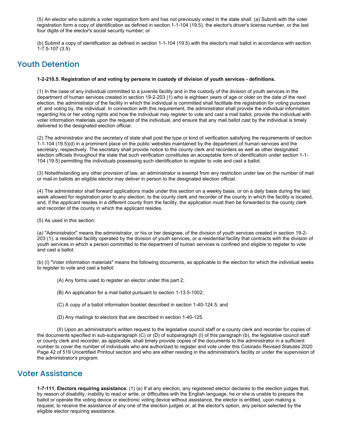(5) An elector who submits a voter registration form and has not previously voted in the state shall: (a) Submit with the voter registration form a copy of identification as defined in section 1-1-104 (19.5), the elector's driver's license number, or the last four digits of the elector's social security number; or

(b) Submit a copy of identification as defined in section 1-1-104 (19.5) with the elector's mail ballot in accordance with section 1-7.5-107 (3.5)

### Youth Detention

#### **1-2-210.5. Registration of and voting by persons in custody of division of youth services - definitions.**

(1) In the case of any individual committed to a juvenile facility and in the custody of the division of youth services in the department of human services created in section 19-2-203 (1) who is eighteen years of age or older on the date of the next election, the administrator of the facility in which the individual is committed shall facilitate the registration for voting purposes of, and voting by, the individual. In connection with this requirement, the administrator shall provide the individual information regarding his or her voting rights and how the individual may register to vote and cast a mail ballot, provide the individual with voter information materials upon the request of the individual, and ensure that any mail ballot cast by the individual is timely delivered to the designated election official.

(2) The administrator and the secretary of state shall post the type or kind of verification satisfying the requirements of section 1-1-104 (19.5)(d) in a prominent place on the public websites maintained by the department of human services and the secretary, respectively. The secretary shall provide notice to the county clerk and recorders as well as other designated election officials throughout the state that such verification constitutes an acceptable form of identification under section 1-1- 104 (19.5) permitting the individuals possessing such identification to register to vote and cast a ballot.

(3) Notwithstanding any other provision of law, an administrator is exempt from any restriction under law on the number of mail or mail-in ballots an eligible elector may deliver in person to the designated election official.

(4) The administrator shall forward applications made under this section on a weekly basis, or on a daily basis during the last week allowed for registration prior to any election, to the county clerk and recorder of the county in which the facility is located, and, if the applicant resides in a different county from the facility, the application must then be forwarded to the county clerk and recorder of the county in which the applicant resides.

(5) As used in this section:

(a) "Administrator" means the administrator, or his or her designee, of the division of youth services created in section 19-2- 203 (1), a residential facility operated by the division of youth services, or a residential facility that contracts with the division of youth services in which a person committed to the department of human services is confined and eligible to register to vote and cast a ballot.

(b) (I) "Voter information materials" means the following documents, as applicable to the election for which the individual seeks to register to vote and cast a ballot:

(A) Any forms used to register an elector under this part 2;

(B) An application for a mail ballot pursuant to section 1-13.5-1002;

(C) A copy of a ballot information booklet described in section 1-40-124.5; and

(D) Any mailings to electors that are described in section 1-40-125.

(II) Upon an administrator's written request to the legislative council staff or a county clerk and recorder for copies of the documents specified in sub-subparagraph (C) or (D) of subparagraph (I) of this paragraph (b), the legislative council staff or county clerk and recorder, as applicable, shall timely provide copies of the documents to the administrator in a sufficient number to cover the number of individuals who are authorized to register and vote under this Colorado Revised Statutes 2020 Page 42 of 519 Uncertified Printout section and who are either residing in the administrator's facility or under the supervision of the administrator's program.

#### Voter Assistance

**1-7-111. Electors requiring assistance.** (1) (a) If at any election, any registered elector declares to the election judges that, by reason of disability, inability to read or write, or difficulties with the English language, he or she is unable to prepare the ballot or operate the voting device or electronic voting device without assistance, the elector is entitled, upon making a request, to receive the assistance of any one of the election judges or, at the elector's option, any person selected by the eligible elector requiring assistance.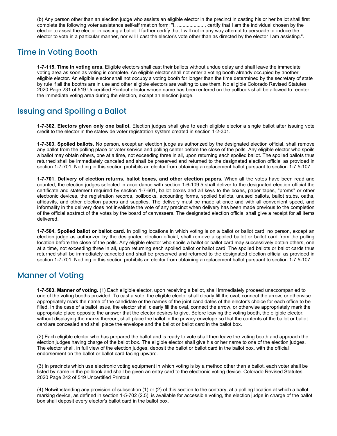(b) Any person other than an election judge who assists an eligible elector in the precinct in casting his or her ballot shall first complete the following voter assistance self-affirmation form: "I, ...................., certify that I am the individual chosen by the elector to assist the elector in casting a ballot. I further certify that I will not in any way attempt to persuade or induce the elector to vote in a particular manner, nor will I cast the elector's vote other than as directed by the elector I am assisting.".

### Time in Voting Booth

**1-7-115. Time in voting area.** Eligible electors shall cast their ballots without undue delay and shall leave the immediate voting area as soon as voting is complete. An eligible elector shall not enter a voting booth already occupied by another eligible elector. An eligible elector shall not occupy a voting booth for longer than the time determined by the secretary of state by rule if all the booths are in use and other eligible electors are waiting to use them. No eligible Colorado Revised Statutes 2020 Page 231 of 519 Uncertified Printout elector whose name has been entered on the pollbook shall be allowed to reenter the immediate voting area during the election, except an election judge.

### Issuing and Spoiling a Ballot

**1-7-302. Electors given only one ballot.** Election judges shall give to each eligible elector a single ballot after issuing vote credit to the elector in the statewide voter registration system created in section 1-2-301.

**1-7-303. Spoiled ballots.** No person, except an election judge as authorized by the designated election official, shall remove any ballot from the polling place or voter service and polling center before the close of the polls. Any eligible elector who spoils a ballot may obtain others, one at a time, not exceeding three in all, upon returning each spoiled ballot. The spoiled ballots thus returned shall be immediately canceled and shall be preserved and returned to the designated election official as provided in section 1-7-701. Nothing in this section prohibits an elector from obtaining a replacement ballot pursuant to section 1-7.5-107.

**1-7-701. Delivery of election returns, ballot boxes, and other election papers.** When all the votes have been read and counted, the election judges selected in accordance with section 1-6-109.5 shall deliver to the designated election official the certificate and statement required by section 1-7-601, ballot boxes and all keys to the boxes, paper tapes, "proms" or other electronic devices, the registration records, pollbooks, accounting forms, spoiled ballots, unused ballots, ballot stubs, oaths, affidavits, and other election papers and supplies. The delivery must be made at once and with all convenient speed, and informality in the delivery does not invalidate the vote of any precinct when delivery has been made previous to the completion of the official abstract of the votes by the board of canvassers. The designated election official shall give a receipt for all items delivered.

**1-7-504. Spoiled ballot or ballot card.** In polling locations in which voting is on a ballot or ballot card, no person, except an election judge as authorized by the designated election official, shall remove a spoiled ballot or ballot card from the polling location before the close of the polls. Any eligible elector who spoils a ballot or ballot card may successively obtain others, one at a time, not exceeding three in all, upon returning each spoiled ballot or ballot card. The spoiled ballots or ballot cards thus returned shall be immediately canceled and shall be preserved and returned to the designated election official as provided in section 1-7-701. Nothing in this section prohibits an elector from obtaining a replacement ballot pursuant to section 1-7.5-107.

### Manner of Voting

**1-7-503. Manner of voting.** (1) Each eligible elector, upon receiving a ballot, shall immediately proceed unaccompanied to one of the voting booths provided. To cast a vote, the eligible elector shall clearly fill the oval, connect the arrow, or otherwise appropriately mark the name of the candidate or the names of the joint candidates of the elector's choice for each office to be filled. In the case of a ballot issue, the elector shall clearly fill the oval, connect the arrow, or otherwise appropriately mark the appropriate place opposite the answer that the elector desires to give. Before leaving the voting booth, the eligible elector, without displaying the marks thereon, shall place the ballot in the privacy envelope so that the contents of the ballot or ballot card are concealed and shall place the envelope and the ballot or ballot card in the ballot box.

(2) Each eligible elector who has prepared the ballot and is ready to vote shall then leave the voting booth and approach the election judges having charge of the ballot box. The eligible elector shall give his or her name to one of the election judges. The elector shall, in full view of the election judges, deposit the ballot or ballot card in the ballot box, with the official endorsement on the ballot or ballot card facing upward.

(3) In precincts which use electronic voting equipment in which voting is by a method other than a ballot, each voter shall be listed by name in the pollbook and shall be given an entry card to the electronic voting device. Colorado Revised Statutes 2020 Page 242 of 519 Uncertified Printout

(4) Notwithstanding any provision of subsection (1) or (2) of this section to the contrary, at a polling location at which a ballot marking device, as defined in section 1-5-702 (2.5), is available for accessible voting, the election judge in charge of the ballot box shall deposit every elector's ballot card in the ballot box.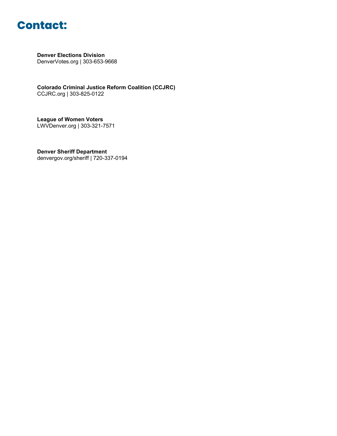

**Denver Elections Division** DenverVotes.org | 303-653-9668

**Colorado Criminal Justice Reform Coalition (CCJRC)** CCJRC.org | 303-825-0122

**League of Women Voters** LWVDenver.org | 303-321-7571

**Denver Sheriff Department** denvergov.org/sheriff | 720-337-0194